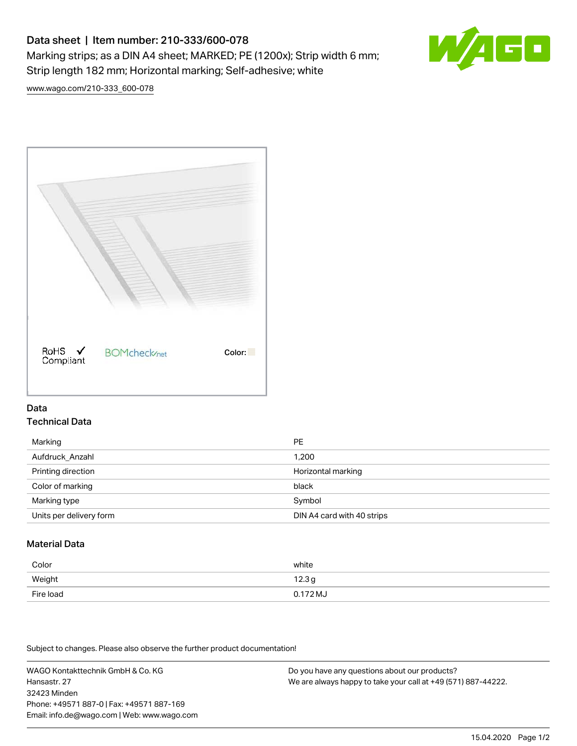# Data sheet | Item number: 210-333/600-078 Marking strips; as a DIN A4 sheet; MARKED; PE (1200x); Strip width 6 mm; Strip length 182 mm; Horizontal marking; Self-adhesive; white



[www.wago.com/210-333\\_600-078](http://www.wago.com/210-333_600-078)



### Data Technical Data

| Marking                 | <b>PE</b>                  |
|-------------------------|----------------------------|
| Aufdruck Anzahl         | 1,200                      |
| Printing direction      | Horizontal marking         |
| Color of marking        | black                      |
| Marking type            | Symbol                     |
| Units per delivery form | DIN A4 card with 40 strips |

## Material Data

| Color     | white               |
|-----------|---------------------|
| Weight    | 12.3g               |
| Fire load | $0.172 \mathrm{MJ}$ |

Subject to changes. Please also observe the further product documentation!

WAGO Kontakttechnik GmbH & Co. KG Hansastr. 27 32423 Minden Phone: +49571 887-0 | Fax: +49571 887-169 Email: info.de@wago.com | Web: www.wago.com Do you have any questions about our products? We are always happy to take your call at +49 (571) 887-44222.